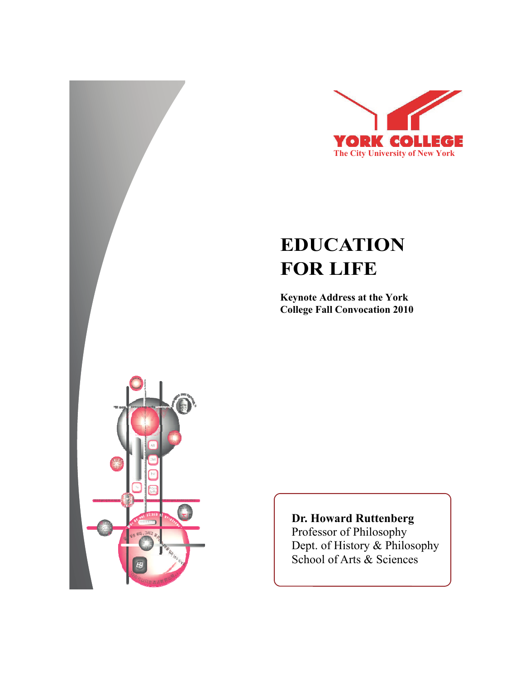

## **EDUCATION FOR LIFE**

**Keynote Address at the York College Fall Convocation 2010**



## **Dr. Howard Ruttenberg**

Professor of Philosophy Dept. of History & Philosophy School of Arts & Sciences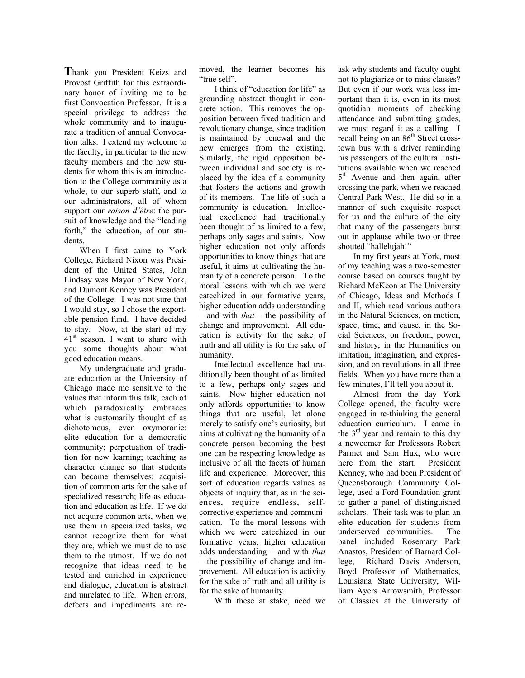**T**hank you President Keizs and Provost Griffith for this extraordinary honor of inviting me to be first Convocation Professor. It is a special privilege to address the whole community and to inaugurate a tradition of annual Convocation talks. I extend my welcome to the faculty, in particular to the new faculty members and the new students for whom this is an introduction to the College community as a whole, to our superb staff, and to our administrators, all of whom support our *raison d'être*: the pursuit of knowledge and the "leading forth," the education, of our students.

When I first came to York College, Richard Nixon was President of the United States, John Lindsay was Mayor of New York, and Dumont Kenney was President of the College. I was not sure that I would stay, so I chose the exportable pension fund. I have decided to stay. Now, at the start of my  $41<sup>st</sup>$  season, I want to share with you some thoughts about what good education means.

My undergraduate and graduate education at the University of Chicago made me sensitive to the values that inform this talk, each of which paradoxically embraces what is customarily thought of as dichotomous, even oxymoronic: elite education for a democratic community; perpetuation of tradition for new learning; teaching as character change so that students can become themselves; acquisition of common arts for the sake of specialized research; life as education and education as life. If we do not acquire common arts, when we use them in specialized tasks, we cannot recognize them for what they are, which we must do to use them to the utmost. If we do not recognize that ideas need to be tested and enriched in experience and dialogue, education is abstract and unrelated to life. When errors, defects and impediments are removed, the learner becomes his "true self".

I think of "education for life" as grounding abstract thought in concrete action. This removes the opposition between fixed tradition and revolutionary change, since tradition is maintained by renewal and the new emerges from the existing. Similarly, the rigid opposition between individual and society is replaced by the idea of a community that fosters the actions and growth of its members. The life of such a community is education. Intellectual excellence had traditionally been thought of as limited to a few, perhaps only sages and saints. Now higher education not only affords opportunities to know things that are useful, it aims at cultivating the humanity of a concrete person. To the moral lessons with which we were catechized in our formative years, higher education adds understanding – and with *that* – the possibility of change and improvement. All education is activity for the sake of truth and all utility is for the sake of humanity.

Intellectual excellence had traditionally been thought of as limited to a few, perhaps only sages and saints. Now higher education not only affords opportunities to know things that are useful, let alone merely to satisfy one's curiosity, but aims at cultivating the humanity of a concrete person becoming the best one can be respecting knowledge as inclusive of all the facets of human life and experience. Moreover, this sort of education regards values as objects of inquiry that, as in the sciences, require endless, selfcorrective experience and communication. To the moral lessons with which we were catechized in our formative years, higher education adds understanding – and with *that*  – the possibility of change and improvement. All education is activity for the sake of truth and all utility is for the sake of humanity.

With these at stake, need we

ask why students and faculty ought not to plagiarize or to miss classes? But even if our work was less important than it is, even in its most quotidian moments of checking attendance and submitting grades, we must regard it as a calling. I recall being on an 86<sup>th</sup> Street crosstown bus with a driver reminding his passengers of the cultural institutions available when we reached 5<sup>th</sup> Avenue and then again, after crossing the park, when we reached Central Park West. He did so in a manner of such exquisite respect for us and the culture of the city that many of the passengers burst out in applause while two or three shouted "hallelujah!"

In my first years at York, most of my teaching was a two-semester course based on courses taught by Richard McKeon at The University of Chicago, Ideas and Methods I and II, which read various authors in the Natural Sciences, on motion, space, time, and cause, in the Social Sciences, on freedom, power, and history, in the Humanities on imitation, imagination, and expression, and on revolutions in all three fields. When you have more than a few minutes, I'll tell you about it.

Almost from the day York College opened, the faculty were engaged in re-thinking the general education curriculum. I came in the  $3<sup>rd</sup>$  year and remain to this day a newcomer for Professors Robert Parmet and Sam Hux, who were here from the start. President Kenney, who had been President of Queensborough Community College, used a Ford Foundation grant to gather a panel of distinguished scholars. Their task was to plan an elite education for students from underserved communities. The panel included Rosemary Park Anastos, President of Barnard College, Richard Davis Anderson, Boyd Professor of Mathematics, Louisiana State University, William Ayers Arrowsmith, Professor of Classics at the University of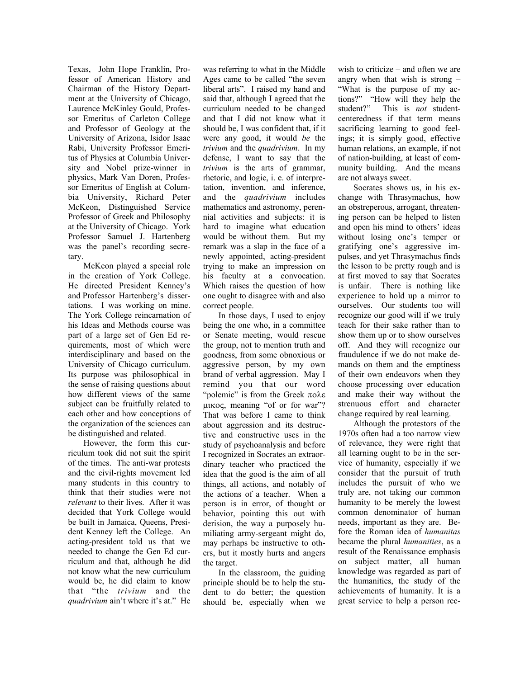Texas, John Hope Franklin, Professor of American History and Chairman of the History Department at the University of Chicago, Laurence McKinley Gould, Professor Emeritus of Carleton College and Professor of Geology at the University of Arizona, Isidor Isaac Rabi, University Professor Emeritus of Physics at Columbia University and Nobel prize-winner in physics, Mark Van Doren, Professor Emeritus of English at Columbia University, Richard Peter McKeon, Distinguished Service Professor of Greek and Philosophy at the University of Chicago. York Professor Samuel J. Hartenberg was the panel's recording secretary.

McKeon played a special role in the creation of York College. He directed President Kenney's and Professor Hartenberg's dissertations. I was working on mine. The York College reincarnation of his Ideas and Methods course was part of a large set of Gen Ed requirements, most of which were interdisciplinary and based on the University of Chicago curriculum. Its purpose was philosophical in the sense of raising questions about how different views of the same subject can be fruitfully related to each other and how conceptions of the organization of the sciences can be distinguished and related.

However, the form this curriculum took did not suit the spirit of the times. The anti-war protests and the civil-rights movement led many students in this country to think that their studies were not *relevant* to their lives. After it was decided that York College would be built in Jamaica, Queens, President Kenney left the College. An acting-president told us that we needed to change the Gen Ed curriculum and that, although he did not know what the new curriculum would be, he did claim to know that "the *trivium* and the *quadrivium* ain't where it's at." He was referring to what in the Middle Ages came to be called "the seven liberal arts". I raised my hand and said that, although I agreed that the curriculum needed to be changed and that I did not know what it should be, I was confident that, if it were any good, it would *be* the *trivium* and the *quadrivium*. In my defense, I want to say that the *trivium* is the arts of grammar, rhetoric, and logic, i. e. of interpretation, invention, and inference, and the *quadrivium* includes mathematics and astronomy, perennial activities and subjects: it is hard to imagine what education would be without them. But my remark was a slap in the face of a newly appointed, acting-president trying to make an impression on his faculty at a convocation. Which raises the question of how one ought to disagree with and also correct people.

In those days, I used to enjoy being the one who, in a committee or Senate meeting, would rescue the group, not to mention truth and goodness, from some obnoxious or aggressive person, by my own brand of verbal aggression. May I remind you that our word "polemic" is from the Greek πολε μικος, meaning "of or for war"? That was before I came to think about aggression and its destructive and constructive uses in the study of psychoanalysis and before I recognized in Socrates an extraordinary teacher who practiced the idea that the good is the aim of all things, all actions, and notably of the actions of a teacher. When a person is in error, of thought or behavior, pointing this out with derision, the way a purposely humiliating army-sergeant might do, may perhaps be instructive to others, but it mostly hurts and angers the target.

In the classroom, the guiding principle should be to help the student to do better; the question should be, especially when we

wish to criticize – and often we are angry when that wish is strong – "What is the purpose of my actions?" "How will they help the student?" This is *not* studentcenteredness if that term means sacrificing learning to good feelings; it is simply good, effective human relations, an example, if not of nation-building, at least of community building. And the means are not always sweet.

Socrates shows us, in his exchange with Thrasymachus, how an obstreperous, arrogant, threatening person can be helped to listen and open his mind to others' ideas without losing one's temper or gratifying one's aggressive impulses, and yet Thrasymachus finds the lesson to be pretty rough and is at first moved to say that Socrates is unfair. There is nothing like experience to hold up a mirror to ourselves. Our students too will recognize our good will if we truly teach for their sake rather than to show them up or to show ourselves off. And they will recognize our fraudulence if we do not make demands on them and the emptiness of their own endeavors when they choose processing over education and make their way without the strenuous effort and character change required by real learning.

Although the protestors of the 1970s often had a too narrow view of relevance, they were right that all learning ought to be in the service of humanity, especially if we consider that the pursuit of truth includes the pursuit of who we truly are, not taking our common humanity to be merely the lowest common denominator of human needs, important as they are. Before the Roman idea of *humanitas* became the plural *humanities*, as a result of the Renaissance emphasis on subject matter, all human knowledge was regarded as part of the humanities, the study of the achievements of humanity. It is a great service to help a person rec-